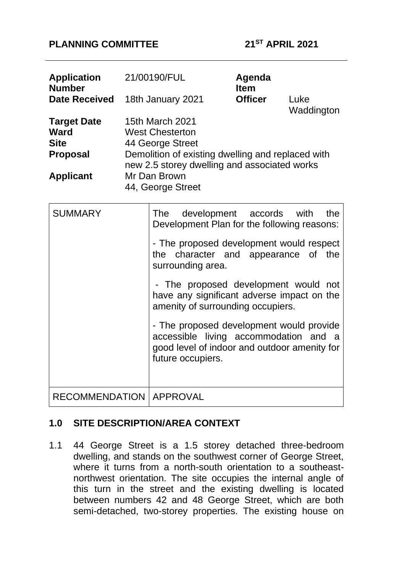### **PLANNING COMMITTEE 21ST APRIL 2021**

| <b>Application</b><br><b>Number</b> | 21/00190/FUL                                                                                      | Agenda<br><b>Item</b> |                    |
|-------------------------------------|---------------------------------------------------------------------------------------------------|-----------------------|--------------------|
| <b>Date Received</b>                | 18th January 2021                                                                                 | <b>Officer</b>        | Luke<br>Waddington |
| <b>Target Date</b>                  | <b>15th March 2021</b>                                                                            |                       |                    |
| Ward                                | <b>West Chesterton</b>                                                                            |                       |                    |
| <b>Site</b>                         | 44 George Street                                                                                  |                       |                    |
| <b>Proposal</b>                     | Demolition of existing dwelling and replaced with<br>new 2.5 storey dwelling and associated works |                       |                    |
| <b>Applicant</b>                    | Mr Dan Brown<br>44, George Street                                                                 |                       |                    |

| <b>SUMMARY</b>                   | The development accords with<br>the<br>Development Plan for the following reasons:                                                                     |  |  |  |
|----------------------------------|--------------------------------------------------------------------------------------------------------------------------------------------------------|--|--|--|
|                                  | - The proposed development would respect<br>the character and appearance of the<br>surrounding area.                                                   |  |  |  |
|                                  | - The proposed development would not<br>have any significant adverse impact on the<br>amenity of surrounding occupiers.                                |  |  |  |
|                                  | - The proposed development would provide<br>accessible living accommodation and a<br>good level of indoor and outdoor amenity for<br>future occupiers. |  |  |  |
| <b>RECOMMENDATION   APPROVAL</b> |                                                                                                                                                        |  |  |  |

# **1.0 SITE DESCRIPTION/AREA CONTEXT**

1.1 44 George Street is a 1.5 storey detached three-bedroom dwelling, and stands on the southwest corner of George Street, where it turns from a north-south orientation to a southeastnorthwest orientation. The site occupies the internal angle of this turn in the street and the existing dwelling is located between numbers 42 and 48 George Street, which are both semi-detached, two-storey properties. The existing house on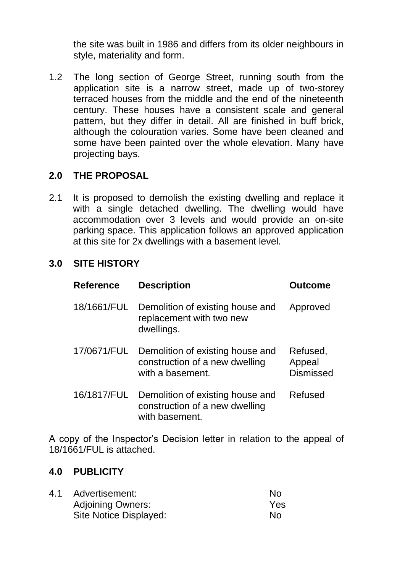the site was built in 1986 and differs from its older neighbours in style, materiality and form.

1.2 The long section of George Street, running south from the application site is a narrow street, made up of two-storey terraced houses from the middle and the end of the nineteenth century. These houses have a consistent scale and general pattern, but they differ in detail. All are finished in buff brick, although the colouration varies. Some have been cleaned and some have been painted over the whole elevation. Many have projecting bays.

## **2.0 THE PROPOSAL**

2.1 It is proposed to demolish the existing dwelling and replace it with a single detached dwelling. The dwelling would have accommodation over 3 levels and would provide an on-site parking space. This application follows an approved application at this site for 2x dwellings with a basement level.

### **3.0 SITE HISTORY**

| <b>Reference</b> | <b>Description</b>                                                                     | <b>Outcome</b>                         |
|------------------|----------------------------------------------------------------------------------------|----------------------------------------|
| 18/1661/FUL      | Demolition of existing house and<br>replacement with two new<br>dwellings.             | Approved                               |
| 17/0671/FUL      | Demolition of existing house and<br>construction of a new dwelling<br>with a basement. | Refused,<br>Appeal<br><b>Dismissed</b> |
| 16/1817/FUL      | Demolition of existing house and<br>construction of a new dwelling<br>with basement.   | Refused                                |

A copy of the Inspector's Decision letter in relation to the appeal of 18/1661/FUL is attached.

#### **4.0 PUBLICITY**

4.1 Advertisement: No Adjoining Owners: Yes Site Notice Displayed: No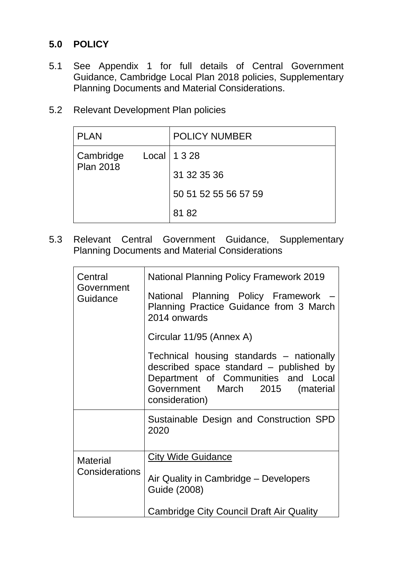# **5.0 POLICY**

- 5.1 See Appendix 1 for full details of Central Government Guidance, Cambridge Local Plan 2018 policies, Supplementary Planning Documents and Material Considerations.
- 5.2 Relevant Development Plan policies

| <b>PLAN</b>                   |  | <b>POLICY NUMBER</b> |
|-------------------------------|--|----------------------|
| Cambridge<br><b>Plan 2018</b> |  | Local   $1328$       |
|                               |  | 31 32 35 36          |
|                               |  | 50 51 52 55 56 57 59 |
|                               |  | 81 82                |

5.3 Relevant Central Government Guidance, Supplementary Planning Documents and Material Considerations

| Central<br>Government<br>Guidance | <b>National Planning Policy Framework 2019</b>                                                                                                                                  |  |  |
|-----------------------------------|---------------------------------------------------------------------------------------------------------------------------------------------------------------------------------|--|--|
|                                   | National Planning Policy Framework -<br>Planning Practice Guidance from 3 March<br>2014 onwards                                                                                 |  |  |
|                                   | Circular 11/95 (Annex A)                                                                                                                                                        |  |  |
|                                   | Technical housing standards - nationally<br>described space standard - published by<br>Department of Communities and Local<br>Government March 2015 (material<br>consideration) |  |  |
|                                   | Sustainable Design and Construction SPD<br>2020                                                                                                                                 |  |  |
| <b>Material</b>                   | <b>City Wide Guidance</b>                                                                                                                                                       |  |  |
| Considerations                    | Air Quality in Cambridge – Developers<br>Guide (2008)                                                                                                                           |  |  |
|                                   | <b>Cambridge City Council Draft Air Quality</b>                                                                                                                                 |  |  |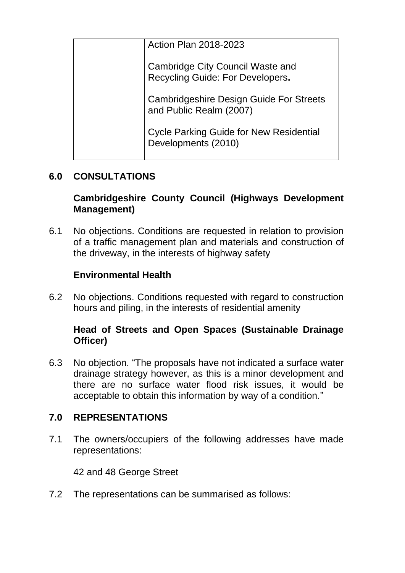| <b>Action Plan 2018-2023</b>                                                       |
|------------------------------------------------------------------------------------|
| <b>Cambridge City Council Waste and</b><br><b>Recycling Guide: For Developers.</b> |
| <b>Cambridgeshire Design Guide For Streets</b><br>and Public Realm (2007)          |
| <b>Cycle Parking Guide for New Residential</b><br>Developments (2010)              |

# **6.0 CONSULTATIONS**

# **Cambridgeshire County Council (Highways Development Management)**

6.1 No objections. Conditions are requested in relation to provision of a traffic management plan and materials and construction of the driveway, in the interests of highway safety

# **Environmental Health**

6.2 No objections. Conditions requested with regard to construction hours and piling, in the interests of residential amenity

## **Head of Streets and Open Spaces (Sustainable Drainage Officer)**

6.3 No objection. "The proposals have not indicated a surface water drainage strategy however, as this is a minor development and there are no surface water flood risk issues, it would be acceptable to obtain this information by way of a condition."

## **7.0 REPRESENTATIONS**

7.1 The owners/occupiers of the following addresses have made representations:

42 and 48 George Street

7.2 The representations can be summarised as follows: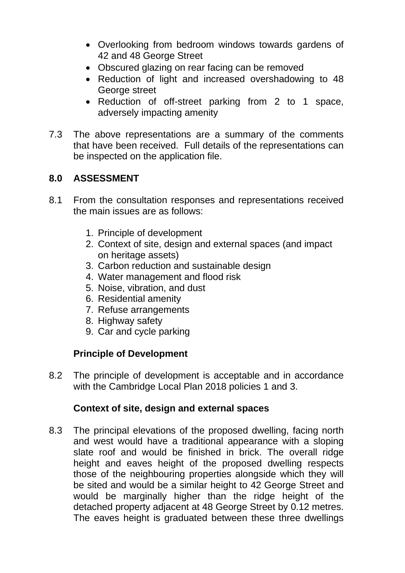- Overlooking from bedroom windows towards gardens of 42 and 48 George Street
- Obscured glazing on rear facing can be removed
- Reduction of light and increased overshadowing to 48 George street
- Reduction of off-street parking from 2 to 1 space, adversely impacting amenity
- 7.3 The above representations are a summary of the comments that have been received. Full details of the representations can be inspected on the application file.

# **8.0 ASSESSMENT**

- 8.1 From the consultation responses and representations received the main issues are as follows:
	- 1. Principle of development
	- 2. Context of site, design and external spaces (and impact on heritage assets)
	- 3. Carbon reduction and sustainable design
	- 4. Water management and flood risk
	- 5. Noise, vibration, and dust
	- 6. Residential amenity
	- 7. Refuse arrangements
	- 8. Highway safety
	- 9. Car and cycle parking

## **Principle of Development**

8.2 The principle of development is acceptable and in accordance with the Cambridge Local Plan 2018 policies 1 and 3.

## **Context of site, design and external spaces**

8.3 The principal elevations of the proposed dwelling, facing north and west would have a traditional appearance with a sloping slate roof and would be finished in brick. The overall ridge height and eaves height of the proposed dwelling respects those of the neighbouring properties alongside which they will be sited and would be a similar height to 42 George Street and would be marginally higher than the ridge height of the detached property adjacent at 48 George Street by 0.12 metres. The eaves height is graduated between these three dwellings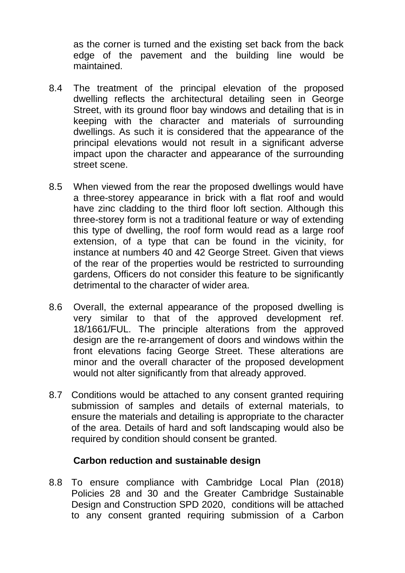as the corner is turned and the existing set back from the back edge of the pavement and the building line would be maintained.

- 8.4 The treatment of the principal elevation of the proposed dwelling reflects the architectural detailing seen in George Street, with its ground floor bay windows and detailing that is in keeping with the character and materials of surrounding dwellings. As such it is considered that the appearance of the principal elevations would not result in a significant adverse impact upon the character and appearance of the surrounding street scene.
- 8.5 When viewed from the rear the proposed dwellings would have a three-storey appearance in brick with a flat roof and would have zinc cladding to the third floor loft section. Although this three-storey form is not a traditional feature or way of extending this type of dwelling, the roof form would read as a large roof extension, of a type that can be found in the vicinity, for instance at numbers 40 and 42 George Street. Given that views of the rear of the properties would be restricted to surrounding gardens, Officers do not consider this feature to be significantly detrimental to the character of wider area.
- 8.6 Overall, the external appearance of the proposed dwelling is very similar to that of the approved development ref. 18/1661/FUL. The principle alterations from the approved design are the re-arrangement of doors and windows within the front elevations facing George Street. These alterations are minor and the overall character of the proposed development would not alter significantly from that already approved.
- 8.7 Conditions would be attached to any consent granted requiring submission of samples and details of external materials, to ensure the materials and detailing is appropriate to the character of the area. Details of hard and soft landscaping would also be required by condition should consent be granted.

#### **Carbon reduction and sustainable design**

8.8 To ensure compliance with Cambridge Local Plan (2018) Policies 28 and 30 and the Greater Cambridge Sustainable Design and Construction SPD 2020, conditions will be attached to any consent granted requiring submission of a Carbon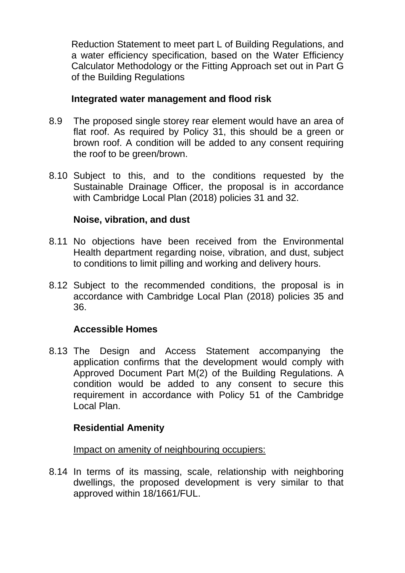Reduction Statement to meet part L of Building Regulations, and a water efficiency specification, based on the Water Efficiency Calculator Methodology or the Fitting Approach set out in Part G of the Building Regulations

## **Integrated water management and flood risk**

- 8.9 The proposed single storey rear element would have an area of flat roof. As required by Policy 31, this should be a green or brown roof. A condition will be added to any consent requiring the roof to be green/brown.
- 8.10 Subject to this, and to the conditions requested by the Sustainable Drainage Officer, the proposal is in accordance with Cambridge Local Plan (2018) policies 31 and 32.

## **Noise, vibration, and dust**

- 8.11 No objections have been received from the Environmental Health department regarding noise, vibration, and dust, subject to conditions to limit pilling and working and delivery hours.
- 8.12 Subject to the recommended conditions, the proposal is in accordance with Cambridge Local Plan (2018) policies 35 and 36.

# **Accessible Homes**

8.13 The Design and Access Statement accompanying the application confirms that the development would comply with Approved Document Part M(2) of the Building Regulations. A condition would be added to any consent to secure this requirement in accordance with Policy 51 of the Cambridge Local Plan.

## **Residential Amenity**

Impact on amenity of neighbouring occupiers:

8.14 In terms of its massing, scale, relationship with neighboring dwellings, the proposed development is very similar to that approved within 18/1661/FUL.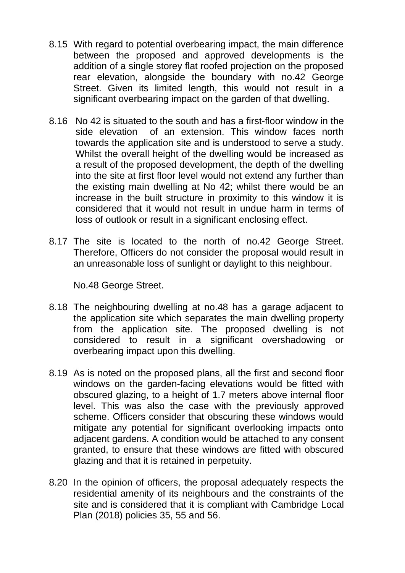- 8.15 With regard to potential overbearing impact, the main difference between the proposed and approved developments is the addition of a single storey flat roofed projection on the proposed rear elevation, alongside the boundary with no.42 George Street. Given its limited length, this would not result in a significant overbearing impact on the garden of that dwelling.
- 8.16 No 42 is situated to the south and has a first-floor window in the side elevation of an extension. This window faces north towards the application site and is understood to serve a study. Whilst the overall height of the dwelling would be increased as a result of the proposed development, the depth of the dwelling into the site at first floor level would not extend any further than the existing main dwelling at No 42; whilst there would be an increase in the built structure in proximity to this window it is considered that it would not result in undue harm in terms of loss of outlook or result in a significant enclosing effect.
- 8.17 The site is located to the north of no.42 George Street. Therefore, Officers do not consider the proposal would result in an unreasonable loss of sunlight or daylight to this neighbour.

No.48 George Street.

- 8.18 The neighbouring dwelling at no.48 has a garage adjacent to the application site which separates the main dwelling property from the application site. The proposed dwelling is not considered to result in a significant overshadowing or overbearing impact upon this dwelling.
- 8.19 As is noted on the proposed plans, all the first and second floor windows on the garden-facing elevations would be fitted with obscured glazing, to a height of 1.7 meters above internal floor level. This was also the case with the previously approved scheme. Officers consider that obscuring these windows would mitigate any potential for significant overlooking impacts onto adjacent gardens. A condition would be attached to any consent granted, to ensure that these windows are fitted with obscured glazing and that it is retained in perpetuity.
- 8.20 In the opinion of officers, the proposal adequately respects the residential amenity of its neighbours and the constraints of the site and is considered that it is compliant with Cambridge Local Plan (2018) policies 35, 55 and 56.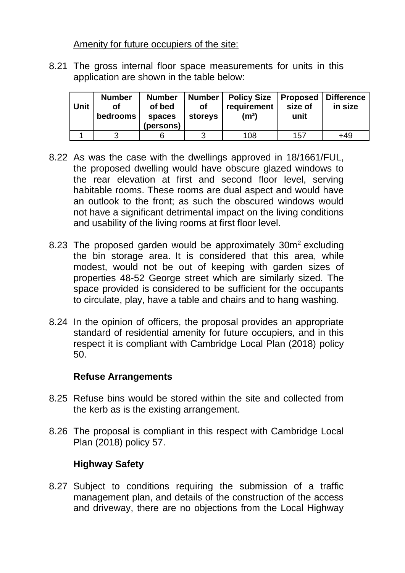Amenity for future occupiers of the site:

8.21 The gross internal floor space measurements for units in this application are shown in the table below:

| <b>Unit</b> | <b>Number</b><br>οf<br>bedrooms | <b>Number</b><br>of bed<br>spaces<br>(persons) | <b>Number</b><br>οf<br>storeys | <b>Policy Size</b><br>requirement<br>(m <sup>2</sup> ) | size of<br>unit | Proposed   Difference<br>in size |
|-------------|---------------------------------|------------------------------------------------|--------------------------------|--------------------------------------------------------|-----------------|----------------------------------|
|             | າ                               |                                                |                                | 108                                                    | 157             | +49                              |

- 8.22 As was the case with the dwellings approved in 18/1661/FUL, the proposed dwelling would have obscure glazed windows to the rear elevation at first and second floor level, serving habitable rooms. These rooms are dual aspect and would have an outlook to the front; as such the obscured windows would not have a significant detrimental impact on the living conditions and usability of the living rooms at first floor level.
- 8.23 The proposed garden would be approximately  $30m^2$  excluding the bin storage area. It is considered that this area, while modest, would not be out of keeping with garden sizes of properties 48-52 George street which are similarly sized. The space provided is considered to be sufficient for the occupants to circulate, play, have a table and chairs and to hang washing.
- 8.24 In the opinion of officers, the proposal provides an appropriate standard of residential amenity for future occupiers, and in this respect it is compliant with Cambridge Local Plan (2018) policy 50.

## **Refuse Arrangements**

- 8.25 Refuse bins would be stored within the site and collected from the kerb as is the existing arrangement.
- 8.26 The proposal is compliant in this respect with Cambridge Local Plan (2018) policy 57.

# **Highway Safety**

8.27 Subject to conditions requiring the submission of a traffic management plan, and details of the construction of the access and driveway, there are no objections from the Local Highway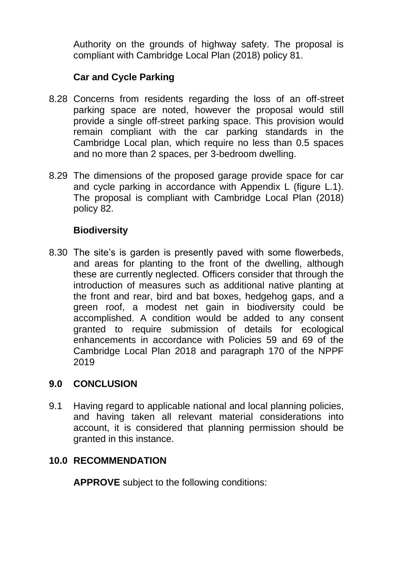Authority on the grounds of highway safety. The proposal is compliant with Cambridge Local Plan (2018) policy 81.

## **Car and Cycle Parking**

- 8.28 Concerns from residents regarding the loss of an off-street parking space are noted, however the proposal would still provide a single off-street parking space. This provision would remain compliant with the car parking standards in the Cambridge Local plan, which require no less than 0.5 spaces and no more than 2 spaces, per 3-bedroom dwelling.
- 8.29 The dimensions of the proposed garage provide space for car and cycle parking in accordance with Appendix L (figure L.1). The proposal is compliant with Cambridge Local Plan (2018) policy 82.

## **Biodiversity**

8.30 The site's is garden is presently paved with some flowerbeds, and areas for planting to the front of the dwelling, although these are currently neglected. Officers consider that through the introduction of measures such as additional native planting at the front and rear, bird and bat boxes, hedgehog gaps, and a green roof, a modest net gain in biodiversity could be accomplished. A condition would be added to any consent granted to require submission of details for ecological enhancements in accordance with Policies 59 and 69 of the Cambridge Local Plan 2018 and paragraph 170 of the NPPF 2019

## **9.0 CONCLUSION**

9.1 Having regard to applicable national and local planning policies, and having taken all relevant material considerations into account, it is considered that planning permission should be granted in this instance.

## **10.0 RECOMMENDATION**

**APPROVE** subject to the following conditions: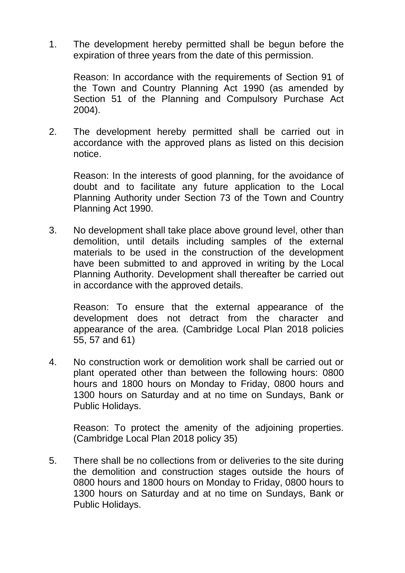1. The development hereby permitted shall be begun before the expiration of three years from the date of this permission.

Reason: In accordance with the requirements of Section 91 of the Town and Country Planning Act 1990 (as amended by Section 51 of the Planning and Compulsory Purchase Act 2004).

2. The development hereby permitted shall be carried out in accordance with the approved plans as listed on this decision notice.

Reason: In the interests of good planning, for the avoidance of doubt and to facilitate any future application to the Local Planning Authority under Section 73 of the Town and Country Planning Act 1990.

3. No development shall take place above ground level, other than demolition, until details including samples of the external materials to be used in the construction of the development have been submitted to and approved in writing by the Local Planning Authority. Development shall thereafter be carried out in accordance with the approved details.

Reason: To ensure that the external appearance of the development does not detract from the character and appearance of the area. (Cambridge Local Plan 2018 policies 55, 57 and 61)

4. No construction work or demolition work shall be carried out or plant operated other than between the following hours: 0800 hours and 1800 hours on Monday to Friday, 0800 hours and 1300 hours on Saturday and at no time on Sundays, Bank or Public Holidays.

Reason: To protect the amenity of the adjoining properties. (Cambridge Local Plan 2018 policy 35)

5. There shall be no collections from or deliveries to the site during the demolition and construction stages outside the hours of 0800 hours and 1800 hours on Monday to Friday, 0800 hours to 1300 hours on Saturday and at no time on Sundays, Bank or Public Holidays.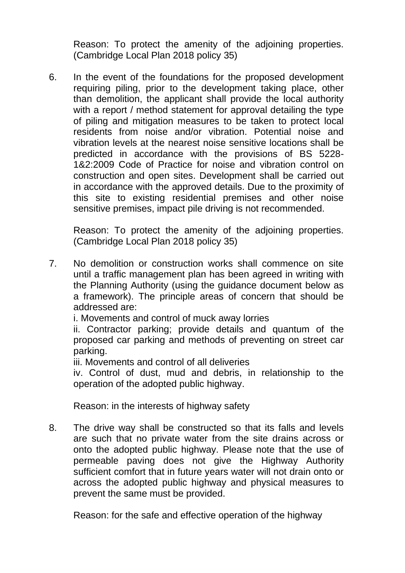Reason: To protect the amenity of the adjoining properties. (Cambridge Local Plan 2018 policy 35)

6. In the event of the foundations for the proposed development requiring piling, prior to the development taking place, other than demolition, the applicant shall provide the local authority with a report / method statement for approval detailing the type of piling and mitigation measures to be taken to protect local residents from noise and/or vibration. Potential noise and vibration levels at the nearest noise sensitive locations shall be predicted in accordance with the provisions of BS 5228- 1&2:2009 Code of Practice for noise and vibration control on construction and open sites. Development shall be carried out in accordance with the approved details. Due to the proximity of this site to existing residential premises and other noise sensitive premises, impact pile driving is not recommended.

Reason: To protect the amenity of the adjoining properties. (Cambridge Local Plan 2018 policy 35)

7. No demolition or construction works shall commence on site until a traffic management plan has been agreed in writing with the Planning Authority (using the guidance document below as a framework). The principle areas of concern that should be addressed are:

i. Movements and control of muck away lorries

ii. Contractor parking; provide details and quantum of the proposed car parking and methods of preventing on street car parking.

iii. Movements and control of all deliveries

iv. Control of dust, mud and debris, in relationship to the operation of the adopted public highway.

Reason: in the interests of highway safety

8. The drive way shall be constructed so that its falls and levels are such that no private water from the site drains across or onto the adopted public highway. Please note that the use of permeable paving does not give the Highway Authority sufficient comfort that in future years water will not drain onto or across the adopted public highway and physical measures to prevent the same must be provided.

Reason: for the safe and effective operation of the highway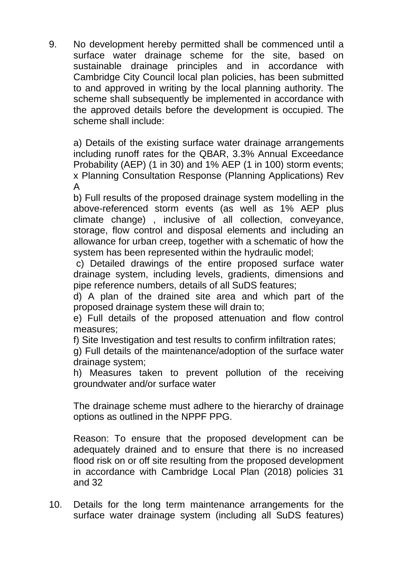9. No development hereby permitted shall be commenced until a surface water drainage scheme for the site, based on sustainable drainage principles and in accordance with Cambridge City Council local plan policies, has been submitted to and approved in writing by the local planning authority. The scheme shall subsequently be implemented in accordance with the approved details before the development is occupied. The scheme shall include:

a) Details of the existing surface water drainage arrangements including runoff rates for the QBAR, 3.3% Annual Exceedance Probability (AEP) (1 in 30) and 1% AEP (1 in 100) storm events; x Planning Consultation Response (Planning Applications) Rev A

b) Full results of the proposed drainage system modelling in the above-referenced storm events (as well as 1% AEP plus climate change) , inclusive of all collection, conveyance, storage, flow control and disposal elements and including an allowance for urban creep, together with a schematic of how the system has been represented within the hydraulic model;

c) Detailed drawings of the entire proposed surface water drainage system, including levels, gradients, dimensions and pipe reference numbers, details of all SuDS features;

d) A plan of the drained site area and which part of the proposed drainage system these will drain to;

e) Full details of the proposed attenuation and flow control measures;

f) Site Investigation and test results to confirm infiltration rates;

g) Full details of the maintenance/adoption of the surface water drainage system;

h) Measures taken to prevent pollution of the receiving groundwater and/or surface water

The drainage scheme must adhere to the hierarchy of drainage options as outlined in the NPPF PPG.

Reason: To ensure that the proposed development can be adequately drained and to ensure that there is no increased flood risk on or off site resulting from the proposed development in accordance with Cambridge Local Plan (2018) policies 31 and 32

10. Details for the long term maintenance arrangements for the surface water drainage system (including all SuDS features)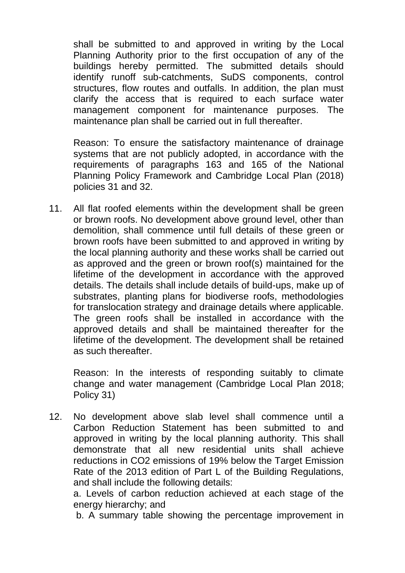shall be submitted to and approved in writing by the Local Planning Authority prior to the first occupation of any of the buildings hereby permitted. The submitted details should identify runoff sub-catchments, SuDS components, control structures, flow routes and outfalls. In addition, the plan must clarify the access that is required to each surface water management component for maintenance purposes. The maintenance plan shall be carried out in full thereafter.

Reason: To ensure the satisfactory maintenance of drainage systems that are not publicly adopted, in accordance with the requirements of paragraphs 163 and 165 of the National Planning Policy Framework and Cambridge Local Plan (2018) policies 31 and 32.

11. All flat roofed elements within the development shall be green or brown roofs. No development above ground level, other than demolition, shall commence until full details of these green or brown roofs have been submitted to and approved in writing by the local planning authority and these works shall be carried out as approved and the green or brown roof(s) maintained for the lifetime of the development in accordance with the approved details. The details shall include details of build-ups, make up of substrates, planting plans for biodiverse roofs, methodologies for translocation strategy and drainage details where applicable. The green roofs shall be installed in accordance with the approved details and shall be maintained thereafter for the lifetime of the development. The development shall be retained as such thereafter.

Reason: In the interests of responding suitably to climate change and water management (Cambridge Local Plan 2018; Policy 31)

12. No development above slab level shall commence until a Carbon Reduction Statement has been submitted to and approved in writing by the local planning authority. This shall demonstrate that all new residential units shall achieve reductions in CO2 emissions of 19% below the Target Emission Rate of the 2013 edition of Part L of the Building Regulations, and shall include the following details:

a. Levels of carbon reduction achieved at each stage of the energy hierarchy; and

b. A summary table showing the percentage improvement in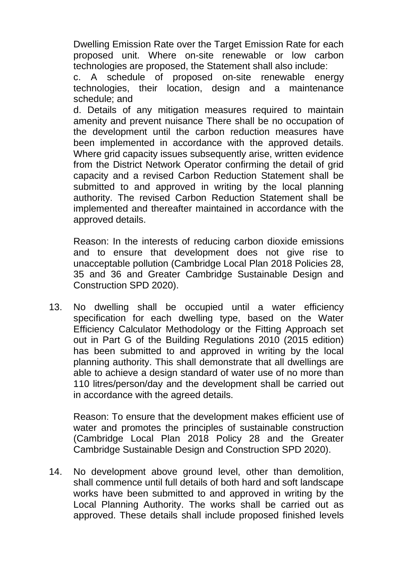Dwelling Emission Rate over the Target Emission Rate for each proposed unit. Where on-site renewable or low carbon technologies are proposed, the Statement shall also include:

c. A schedule of proposed on-site renewable energy technologies, their location, design and a maintenance schedule; and

d. Details of any mitigation measures required to maintain amenity and prevent nuisance There shall be no occupation of the development until the carbon reduction measures have been implemented in accordance with the approved details. Where grid capacity issues subsequently arise, written evidence from the District Network Operator confirming the detail of grid capacity and a revised Carbon Reduction Statement shall be submitted to and approved in writing by the local planning authority. The revised Carbon Reduction Statement shall be implemented and thereafter maintained in accordance with the approved details.

Reason: In the interests of reducing carbon dioxide emissions and to ensure that development does not give rise to unacceptable pollution (Cambridge Local Plan 2018 Policies 28, 35 and 36 and Greater Cambridge Sustainable Design and Construction SPD 2020).

13. No dwelling shall be occupied until a water efficiency specification for each dwelling type, based on the Water Efficiency Calculator Methodology or the Fitting Approach set out in Part G of the Building Regulations 2010 (2015 edition) has been submitted to and approved in writing by the local planning authority. This shall demonstrate that all dwellings are able to achieve a design standard of water use of no more than 110 litres/person/day and the development shall be carried out in accordance with the agreed details.

Reason: To ensure that the development makes efficient use of water and promotes the principles of sustainable construction (Cambridge Local Plan 2018 Policy 28 and the Greater Cambridge Sustainable Design and Construction SPD 2020).

14. No development above ground level, other than demolition, shall commence until full details of both hard and soft landscape works have been submitted to and approved in writing by the Local Planning Authority. The works shall be carried out as approved. These details shall include proposed finished levels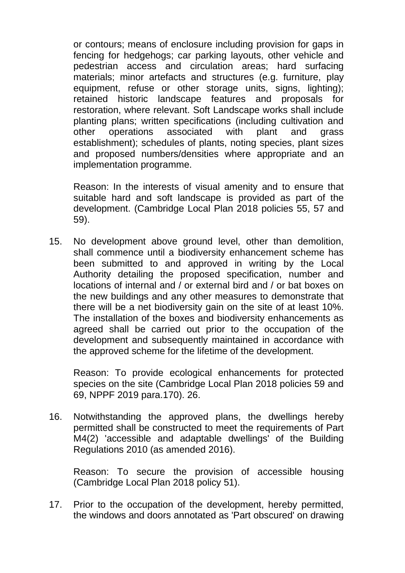or contours; means of enclosure including provision for gaps in fencing for hedgehogs; car parking layouts, other vehicle and pedestrian access and circulation areas; hard surfacing materials; minor artefacts and structures (e.g. furniture, play equipment, refuse or other storage units, signs, lighting); retained historic landscape features and proposals for restoration, where relevant. Soft Landscape works shall include planting plans; written specifications (including cultivation and other operations associated with plant and grass establishment); schedules of plants, noting species, plant sizes and proposed numbers/densities where appropriate and an implementation programme.

Reason: In the interests of visual amenity and to ensure that suitable hard and soft landscape is provided as part of the development. (Cambridge Local Plan 2018 policies 55, 57 and 59).

15. No development above ground level, other than demolition, shall commence until a biodiversity enhancement scheme has been submitted to and approved in writing by the Local Authority detailing the proposed specification, number and locations of internal and / or external bird and / or bat boxes on the new buildings and any other measures to demonstrate that there will be a net biodiversity gain on the site of at least 10%. The installation of the boxes and biodiversity enhancements as agreed shall be carried out prior to the occupation of the development and subsequently maintained in accordance with the approved scheme for the lifetime of the development.

Reason: To provide ecological enhancements for protected species on the site (Cambridge Local Plan 2018 policies 59 and 69, NPPF 2019 para.170). 26.

16. Notwithstanding the approved plans, the dwellings hereby permitted shall be constructed to meet the requirements of Part M4(2) 'accessible and adaptable dwellings' of the Building Regulations 2010 (as amended 2016).

Reason: To secure the provision of accessible housing (Cambridge Local Plan 2018 policy 51).

17. Prior to the occupation of the development, hereby permitted, the windows and doors annotated as 'Part obscured' on drawing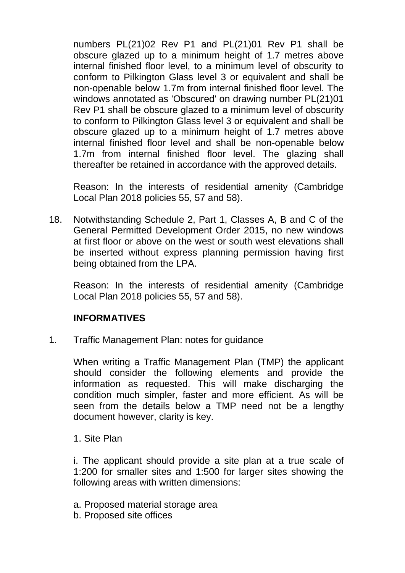numbers PL(21)02 Rev P1 and PL(21)01 Rev P1 shall be obscure glazed up to a minimum height of 1.7 metres above internal finished floor level, to a minimum level of obscurity to conform to Pilkington Glass level 3 or equivalent and shall be non-openable below 1.7m from internal finished floor level. The windows annotated as 'Obscured' on drawing number PL(21)01 Rev P1 shall be obscure glazed to a minimum level of obscurity to conform to Pilkington Glass level 3 or equivalent and shall be obscure glazed up to a minimum height of 1.7 metres above internal finished floor level and shall be non-openable below 1.7m from internal finished floor level. The glazing shall thereafter be retained in accordance with the approved details.

Reason: In the interests of residential amenity (Cambridge Local Plan 2018 policies 55, 57 and 58).

18. Notwithstanding Schedule 2, Part 1, Classes A, B and C of the General Permitted Development Order 2015, no new windows at first floor or above on the west or south west elevations shall be inserted without express planning permission having first being obtained from the LPA.

Reason: In the interests of residential amenity (Cambridge Local Plan 2018 policies 55, 57 and 58).

## **INFORMATIVES**

1. Traffic Management Plan: notes for guidance

When writing a Traffic Management Plan (TMP) the applicant should consider the following elements and provide the information as requested. This will make discharging the condition much simpler, faster and more efficient. As will be seen from the details below a TMP need not be a lengthy document however, clarity is key.

1. Site Plan

i. The applicant should provide a site plan at a true scale of 1:200 for smaller sites and 1:500 for larger sites showing the following areas with written dimensions:

- a. Proposed material storage area
- b. Proposed site offices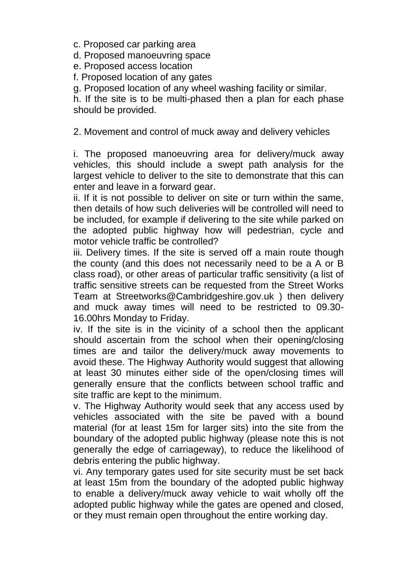c. Proposed car parking area

d. Proposed manoeuvring space

e. Proposed access location

f. Proposed location of any gates

g. Proposed location of any wheel washing facility or similar.

h. If the site is to be multi-phased then a plan for each phase should be provided.

2. Movement and control of muck away and delivery vehicles

i. The proposed manoeuvring area for delivery/muck away vehicles, this should include a swept path analysis for the largest vehicle to deliver to the site to demonstrate that this can enter and leave in a forward gear.

ii. If it is not possible to deliver on site or turn within the same, then details of how such deliveries will be controlled will need to be included, for example if delivering to the site while parked on the adopted public highway how will pedestrian, cycle and motor vehicle traffic be controlled?

iii. Delivery times. If the site is served off a main route though the county (and this does not necessarily need to be a A or B class road), or other areas of particular traffic sensitivity (a list of traffic sensitive streets can be requested from the Street Works Team at Streetworks@Cambridgeshire.gov.uk ) then delivery and muck away times will need to be restricted to 09.30- 16.00hrs Monday to Friday.

iv. If the site is in the vicinity of a school then the applicant should ascertain from the school when their opening/closing times are and tailor the delivery/muck away movements to avoid these. The Highway Authority would suggest that allowing at least 30 minutes either side of the open/closing times will generally ensure that the conflicts between school traffic and site traffic are kept to the minimum.

v. The Highway Authority would seek that any access used by vehicles associated with the site be paved with a bound material (for at least 15m for larger sits) into the site from the boundary of the adopted public highway (please note this is not generally the edge of carriageway), to reduce the likelihood of debris entering the public highway.

vi. Any temporary gates used for site security must be set back at least 15m from the boundary of the adopted public highway to enable a delivery/muck away vehicle to wait wholly off the adopted public highway while the gates are opened and closed, or they must remain open throughout the entire working day.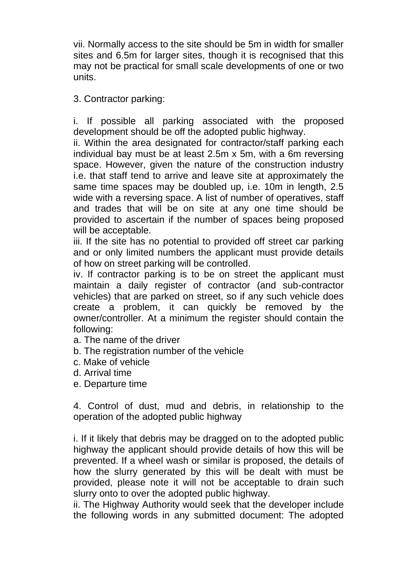vii. Normally access to the site should be 5m in width for smaller sites and 6.5m for larger sites, though it is recognised that this may not be practical for small scale developments of one or two units.

## 3. Contractor parking:

i. If possible all parking associated with the proposed development should be off the adopted public highway.

ii. Within the area designated for contractor/staff parking each individual bay must be at least 2.5m x 5m, with a 6m reversing space. However, given the nature of the construction industry i.e. that staff tend to arrive and leave site at approximately the same time spaces may be doubled up, i.e. 10m in length, 2.5 wide with a reversing space. A list of number of operatives, staff and trades that will be on site at any one time should be provided to ascertain if the number of spaces being proposed will be acceptable.

iii. If the site has no potential to provided off street car parking and or only limited numbers the applicant must provide details of how on street parking will be controlled.

iv. If contractor parking is to be on street the applicant must maintain a daily register of contractor (and sub-contractor vehicles) that are parked on street, so if any such vehicle does create a problem, it can quickly be removed by the owner/controller. At a minimum the register should contain the following:

- a. The name of the driver
- b. The registration number of the vehicle
- c. Make of vehicle
- d. Arrival time
- e. Departure time

4. Control of dust, mud and debris, in relationship to the operation of the adopted public highway

i. If it likely that debris may be dragged on to the adopted public highway the applicant should provide details of how this will be prevented. If a wheel wash or similar is proposed, the details of how the slurry generated by this will be dealt with must be provided, please note it will not be acceptable to drain such slurry onto to over the adopted public highway.

ii. The Highway Authority would seek that the developer include the following words in any submitted document: The adopted